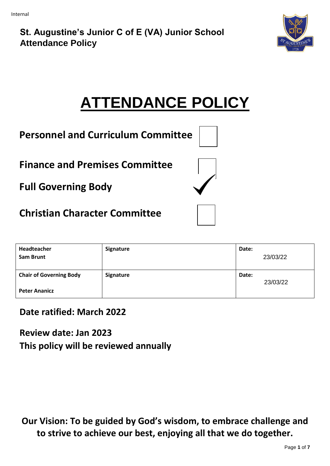

# **ATTENDANCE POLICY**

| <b>Personnel and Curriculum Committee</b> |
|-------------------------------------------|
|-------------------------------------------|

**Finance and Premises Committee** 

**Full Governing Body** 

**Christian Character Committee**

| Headteacher<br><b>Sam Brunt</b> | Signature | Date: | 23/03/22 |
|---------------------------------|-----------|-------|----------|
| <b>Chair of Governing Body</b>  | Signature | Date: | 23/03/22 |
| <b>Peter Ananicz</b>            |           |       |          |

# **Date ratified: March 2022**

**Review date: Jan 2023 This policy will be reviewed annually** 

**Our Vision: To be guided by God's wisdom, to embrace challenge and to strive to achieve our best, enjoying all that we do together.**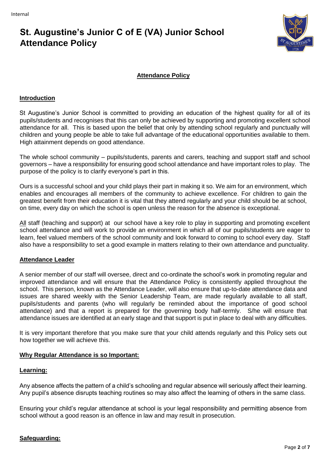

# **Attendance Policy**

### **Introduction**

St Augustine's Junior School is committed to providing an education of the highest quality for all of its pupils/students and recognises that this can only be achieved by supporting and promoting excellent school attendance for all. This is based upon the belief that only by attending school regularly and punctually will children and young people be able to take full advantage of the educational opportunities available to them. High attainment depends on good attendance.

The whole school community – pupils/students, parents and carers, teaching and support staff and school governors – have a responsibility for ensuring good school attendance and have important roles to play. The purpose of the policy is to clarify everyone's part in this.

Ours is a successful school and your child plays their part in making it so. We aim for an environment, which enables and encourages all members of the community to achieve excellence. For children to gain the greatest benefit from their education it is vital that they attend regularly and your child should be at school, on time, every day on which the school is open unless the reason for the absence is exceptional.

All staff (teaching and support) at our school have a key role to play in supporting and promoting excellent school attendance and will work to provide an environment in which all of our pupils/students are eager to learn, feel valued members of the school community and look forward to coming to school every day. Staff also have a responsibility to set a good example in matters relating to their own attendance and punctuality.

### **Attendance Leader**

A senior member of our staff will oversee, direct and co-ordinate the school's work in promoting regular and improved attendance and will ensure that the Attendance Policy is consistently applied throughout the school. This person, known as the Attendance Leader, will also ensure that up-to-date attendance data and issues are shared weekly with the Senior Leadership Team, are made regularly available to all staff, pupils/students and parents (who will regularly be reminded about the importance of good school attendance) and that a report is prepared for the governing body half-termly. S/he will ensure that attendance issues are identified at an early stage and that support is put in place to deal with any difficulties.

It is very important therefore that you make sure that your child attends regularly and this Policy sets out how together we will achieve this.

# **Why Regular Attendance is so Important:**

### **Learning:**

Any absence affects the pattern of a child's schooling and regular absence will seriously affect their learning. Any pupil's absence disrupts teaching routines so may also affect the learning of others in the same class.

Ensuring your child's regular attendance at school is your legal responsibility and permitting absence from school without a good reason is an offence in law and may result in prosecution.

# **Safeguarding:**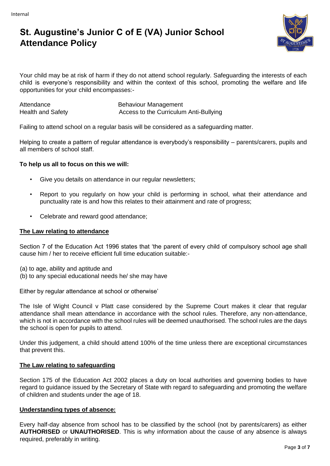

Your child may be at risk of harm if they do not attend school regularly. Safeguarding the interests of each child is everyone's responsibility and within the context of this school, promoting the welfare and life opportunities for your child encompasses:-

Attendance Behaviour Management Health and Safety **Access to the Curriculum Anti-Bullying** Access to the Curriculum Anti-Bullying

Failing to attend school on a regular basis will be considered as a safeguarding matter.

Helping to create a pattern of regular attendance is everybody's responsibility – parents/carers, pupils and all members of school staff.

# **To help us all to focus on this we will:**

- Give you details on attendance in our regular newsletters;
- Report to you regularly on how your child is performing in school, what their attendance and punctuality rate is and how this relates to their attainment and rate of progress;
- Celebrate and reward good attendance;

# **The Law relating to attendance**

Section 7 of the Education Act 1996 states that 'the parent of every child of compulsory school age shall cause him / her to receive efficient full time education suitable:-

(a) to age, ability and aptitude and

(b) to any special educational needs he/ she may have

Either by regular attendance at school or otherwise'

The Isle of Wight Council v Platt case considered by the Supreme Court makes it clear that regular attendance shall mean attendance in accordance with the school rules. Therefore, any non-attendance, which is not in accordance with the school rules will be deemed unauthorised. The school rules are the days the school is open for pupils to attend.

Under this judgement, a child should attend 100% of the time unless there are exceptional circumstances that prevent this.

# **The Law relating to safeguarding**

Section 175 of the Education Act 2002 places a duty on local authorities and governing bodies to have regard to guidance issued by the Secretary of State with regard to safeguarding and promoting the welfare of children and students under the age of 18.

# **Understanding types of absence:**

Every half-day absence from school has to be classified by the school (not by parents/carers) as either **AUTHORISED** or **UNAUTHORISED**. This is why information about the cause of any absence is always required, preferably in writing.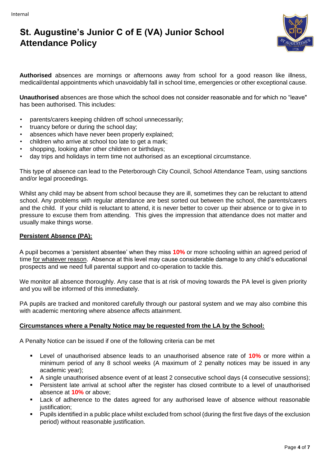

**Authorised** absences are mornings or afternoons away from school for a good reason like illness, medical/dental appointments which unavoidably fall in school time, emergencies or other exceptional cause.

**Unauthorised** absences are those which the school does not consider reasonable and for which no "leave" has been authorised. This includes:

- parents/carers keeping children off school unnecessarily;
- truancy before or during the school day;
- absences which have never been properly explained;
- children who arrive at school too late to get a mark;
- shopping, looking after other children or birthdays;
- day trips and holidays in term time not authorised as an exceptional circumstance.

This type of absence can lead to the Peterborough City Council, School Attendance Team, using sanctions and/or legal proceedings.

Whilst any child may be absent from school because they are ill, sometimes they can be reluctant to attend school. Any problems with regular attendance are best sorted out between the school, the parents/carers and the child. If your child is reluctant to attend, it is never better to cover up their absence or to give in to pressure to excuse them from attending. This gives the impression that attendance does not matter and usually make things worse.

### **Persistent Absence (PA):**

A pupil becomes a 'persistent absentee' when they miss **10%** or more schooling within an agreed period of time for whatever reason. Absence at this level may cause considerable damage to any child's educational prospects and we need full parental support and co-operation to tackle this.

We monitor all absence thoroughly. Any case that is at risk of moving towards the PA level is given priority and you will be informed of this immediately.

PA pupils are tracked and monitored carefully through our pastoral system and we may also combine this with academic mentoring where absence affects attainment.

### **Circumstances where a Penalty Notice may be requested from the LA by the School:**

A Penalty Notice can be issued if one of the following criteria can be met

- Level of unauthorised absence leads to an unauthorised absence rate of **10%** or more within a minimum period of any 8 school weeks (A maximum of 2 penalty notices may be issued in any academic year);
- A single unauthorised absence event of at least 2 consecutive school days (4 consecutive sessions);
- Persistent late arrival at school after the register has closed contribute to a level of unauthorised absence at **10%** or above;
- Lack of adherence to the dates agreed for any authorised leave of absence without reasonable justification;
- Pupils identified in a public place whilst excluded from school (during the first five days of the exclusion period) without reasonable justification.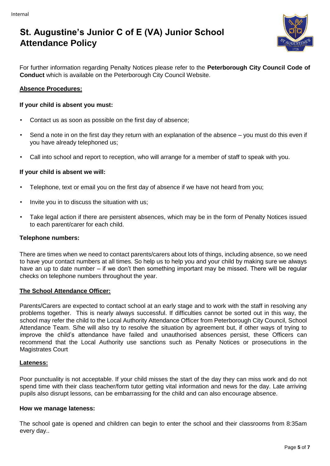

For further information regarding Penalty Notices please refer to the **Peterborough City Council Code of Conduct** which is available on the Peterborough City Council Website.

# **Absence Procedures:**

### **If your child is absent you must:**

- Contact us as soon as possible on the first day of absence;
- Send a note in on the first day they return with an explanation of the absence you must do this even if you have already telephoned us;
- Call into school and report to reception, who will arrange for a member of staff to speak with you.

### **If your child is absent we will:**

- Telephone, text or email you on the first day of absence if we have not heard from you;
- Invite you in to discuss the situation with us;
- Take legal action if there are persistent absences, which may be in the form of Penalty Notices issued to each parent/carer for each child.

### **Telephone numbers:**

There are times when we need to contact parents/carers about lots of things, including absence, so we need to have your contact numbers at all times. So help us to help you and your child by making sure we always have an up to date number – if we don't then something important may be missed. There will be regular checks on telephone numbers throughout the year.

### **The School Attendance Officer:**

Parents/Carers are expected to contact school at an early stage and to work with the staff in resolving any problems together. This is nearly always successful. If difficulties cannot be sorted out in this way, the school may refer the child to the Local Authority Attendance Officer from Peterborough City Council, School Attendance Team. S/he will also try to resolve the situation by agreement but, if other ways of trying to improve the child's attendance have failed and unauthorised absences persist, these Officers can recommend that the Local Authority use sanctions such as Penalty Notices or prosecutions in the Magistrates Court

# **Lateness:**

Poor punctuality is not acceptable. If your child misses the start of the day they can miss work and do not spend time with their class teacher/form tutor getting vital information and news for the day. Late arriving pupils also disrupt lessons, can be embarrassing for the child and can also encourage absence.

### **How we manage lateness:**

The school gate is opened and children can begin to enter the school and their classrooms from 8:35am every day..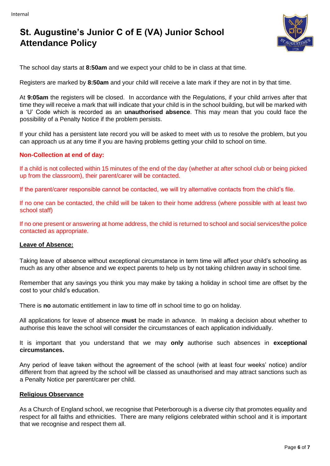

The school day starts at **8:50am** and we expect your child to be in class at that time.

Registers are marked by **8:50am** and your child will receive a late mark if they are not in by that time.

At **9:05am** the registers will be closed. In accordance with the Regulations, if your child arrives after that time they will receive a mark that will indicate that your child is in the school building, but will be marked with a 'U' Code which is recorded as an **unauthorised absence**. This may mean that you could face the possibility of a Penalty Notice if the problem persists.

If your child has a persistent late record you will be asked to meet with us to resolve the problem, but you can approach us at any time if you are having problems getting your child to school on time.

### **Non-Collection at end of day:**

If a child is not collected within 15 minutes of the end of the day (whether at after school club or being picked up from the classroom), their parent/carer will be contacted.

If the parent/carer responsible cannot be contacted, we will try alternative contacts from the child's file.

If no one can be contacted, the child will be taken to their home address (where possible with at least two school staff)

If no one present or answering at home address, the child is returned to school and social services/the police contacted as appropriate.

### **Leave of Absence:**

Taking leave of absence without exceptional circumstance in term time will affect your child's schooling as much as any other absence and we expect parents to help us by not taking children away in school time.

Remember that any savings you think you may make by taking a holiday in school time are offset by the cost to your child's education.

There is **no** automatic entitlement in law to time off in school time to go on holiday.

All applications for leave of absence **must** be made in advance. In making a decision about whether to authorise this leave the school will consider the circumstances of each application individually.

It is important that you understand that we may **only** authorise such absences in **exceptional circumstances.** 

Any period of leave taken without the agreement of the school (with at least four weeks' notice) and/or different from that agreed by the school will be classed as unauthorised and may attract sanctions such as a Penalty Notice per parent/carer per child.

### **Religious Observance**

As a Church of England school, we recognise that Peterborough is a diverse city that promotes equality and respect for all faiths and ethnicities. There are many religions celebrated within school and it is important that we recognise and respect them all.